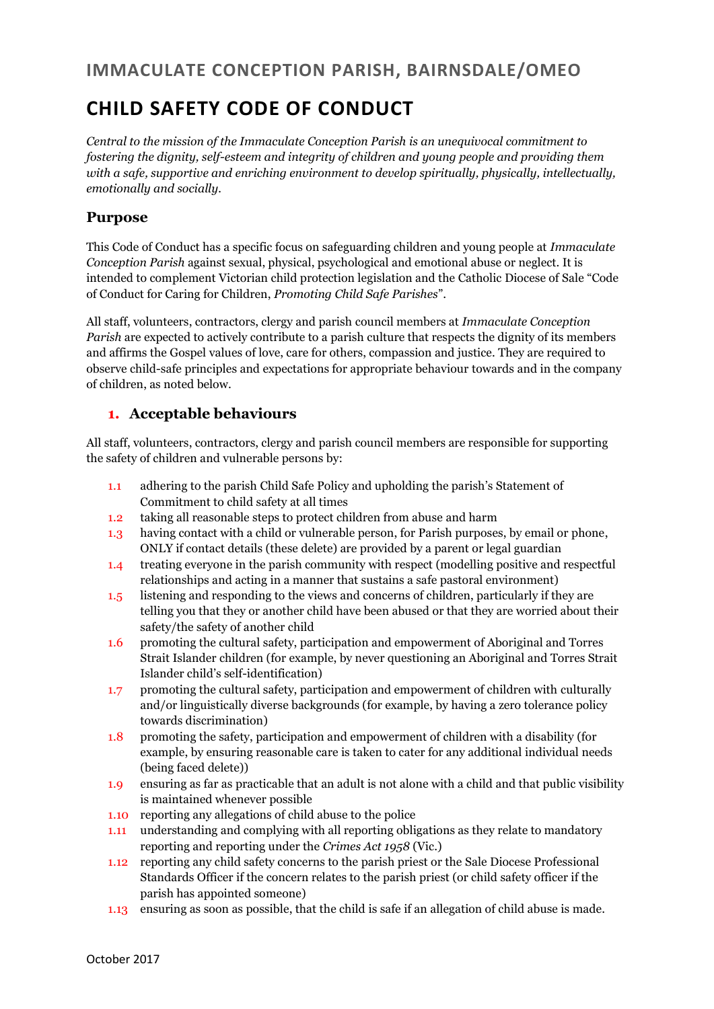### **IMMACULATE CONCEPTION PARISH, BAIRNSDALE/OMEO**

## **CHILD SAFETY CODE OF CONDUCT**

*Central to the mission of the Immaculate Conception Parish is an unequivocal commitment to fostering the dignity, self-esteem and integrity of children and young people and providing them with a safe, supportive and enriching environment to develop spiritually, physically, intellectually, emotionally and socially.*

#### **Purpose**

This Code of Conduct has a specific focus on safeguarding children and young people at *Immaculate Conception Parish* against sexual, physical, psychological and emotional abuse or neglect. It is intended to complement Victorian child protection legislation and the Catholic Diocese of Sale "Code of Conduct for Caring for Children, *Promoting Child Safe Parishes*".

All staff, volunteers, contractors, clergy and parish council members at *Immaculate Conception Parish* are expected to actively contribute to a parish culture that respects the dignity of its members and affirms the Gospel values of love, care for others, compassion and justice. They are required to observe child-safe principles and expectations for appropriate behaviour towards and in the company of children, as noted below.

#### **1. Acceptable behaviours**

All staff, volunteers, contractors, clergy and parish council members are responsible for supporting the safety of children and vulnerable persons by:

- 1.1 adhering to the parish Child Safe Policy and upholding the parish's Statement of Commitment to child safety at all times
- 1.2 taking all reasonable steps to protect children from abuse and harm
- 1.3 having contact with a child or vulnerable person, for Parish purposes, by email or phone, ONLY if contact details (these delete) are provided by a parent or legal guardian
- 1.4 treating everyone in the parish community with respect (modelling positive and respectful relationships and acting in a manner that sustains a safe pastoral environment)
- 1.5 listening and responding to the views and concerns of children, particularly if they are telling you that they or another child have been abused or that they are worried about their safety/the safety of another child
- 1.6 promoting the cultural safety, participation and empowerment of Aboriginal and Torres Strait Islander children (for example, by never questioning an Aboriginal and Torres Strait Islander child's self-identification)
- 1.7 promoting the cultural safety, participation and empowerment of children with culturally and/or linguistically diverse backgrounds (for example, by having a zero tolerance policy towards discrimination)
- 1.8 promoting the safety, participation and empowerment of children with a disability (for example, by ensuring reasonable care is taken to cater for any additional individual needs (being faced delete))
- 1.9 ensuring as far as practicable that an adult is not alone with a child and that public visibility is maintained whenever possible
- 1.10 reporting any allegations of child abuse to the police
- 1.11 understanding and complying with all reporting obligations as they relate to mandatory reporting and reporting under the *Crimes Act 1958* (Vic.)
- 1.12 reporting any child safety concerns to the parish priest or the Sale Diocese Professional Standards Officer if the concern relates to the parish priest (or child safety officer if the parish has appointed someone)
- 1.13 ensuring as soon as possible, that the child is safe if an allegation of child abuse is made.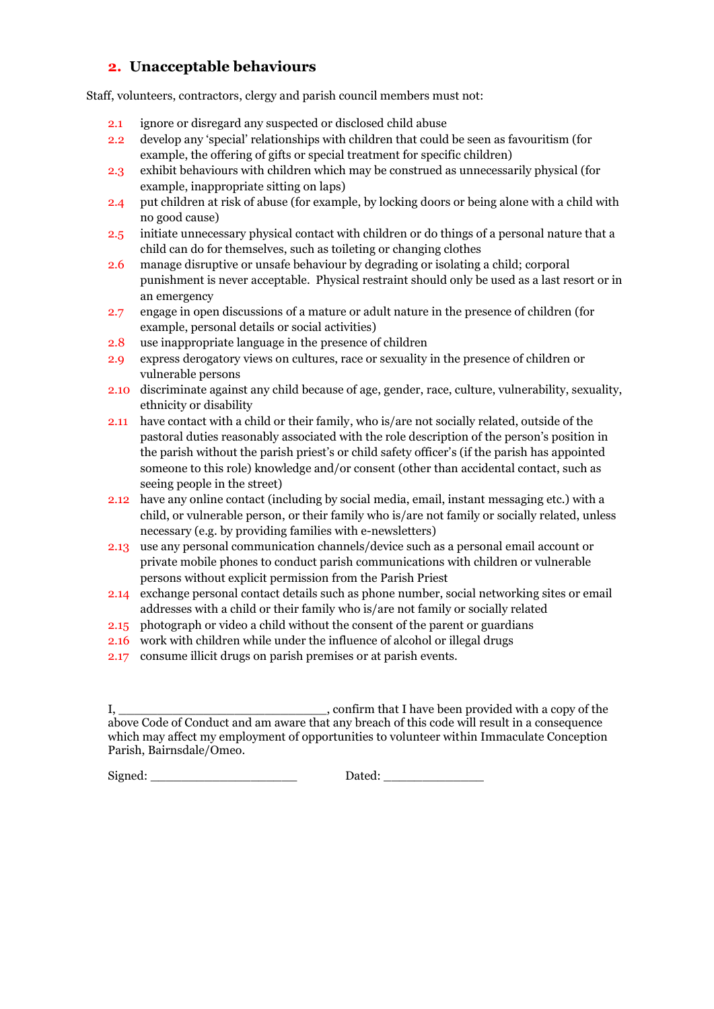#### **2. Unacceptable behaviours**

Staff, volunteers, contractors, clergy and parish council members must not:

- 2.1 ignore or disregard any suspected or disclosed child abuse
- 2.2 develop any 'special' relationships with children that could be seen as favouritism (for example, the offering of gifts or special treatment for specific children)
- 2.3 exhibit behaviours with children which may be construed as unnecessarily physical (for example, inappropriate sitting on laps)
- 2.4 put children at risk of abuse (for example, by locking doors or being alone with a child with no good cause)
- 2.5 initiate unnecessary physical contact with children or do things of a personal nature that a child can do for themselves, such as toileting or changing clothes
- 2.6 manage disruptive or unsafe behaviour by degrading or isolating a child; corporal punishment is never acceptable. Physical restraint should only be used as a last resort or in an emergency
- 2.7 engage in open discussions of a mature or adult nature in the presence of children (for example, personal details or social activities)
- 2.8 use inappropriate language in the presence of children
- 2.9 express derogatory views on cultures, race or sexuality in the presence of children or vulnerable persons
- 2.10 discriminate against any child because of age, gender, race, culture, vulnerability, sexuality, ethnicity or disability
- 2.11 have contact with a child or their family, who is/are not socially related, outside of the pastoral duties reasonably associated with the role description of the person's position in the parish without the parish priest's or child safety officer's (if the parish has appointed someone to this role) knowledge and/or consent (other than accidental contact, such as seeing people in the street)
- 2.12 have any online contact (including by social media, email, instant messaging etc.) with a child, or vulnerable person, or their family who is/are not family or socially related, unless necessary (e.g. by providing families with e-newsletters)
- 2.13 use any personal communication channels/device such as a personal email account or private mobile phones to conduct parish communications with children or vulnerable persons without explicit permission from the Parish Priest
- 2.14 exchange personal contact details such as phone number, social networking sites or email addresses with a child or their family who is/are not family or socially related
- 2.15 photograph or video a child without the consent of the parent or guardians
- 2.16 work with children while under the influence of alcohol or illegal drugs
- 2.17 consume illicit drugs on parish premises or at parish events.

Signed: \_\_\_\_\_\_\_\_\_\_\_\_\_\_\_\_\_\_\_ Dated: \_\_\_\_\_\_\_\_\_\_\_\_\_

I, \_\_\_\_\_\_\_\_\_\_\_\_\_\_\_\_\_\_\_\_\_\_\_\_\_\_\_, confirm that I have been provided with a copy of the above Code of Conduct and am aware that any breach of this code will result in a consequence which may affect my employment of opportunities to volunteer within Immaculate Conception Parish, Bairnsdale/Omeo.